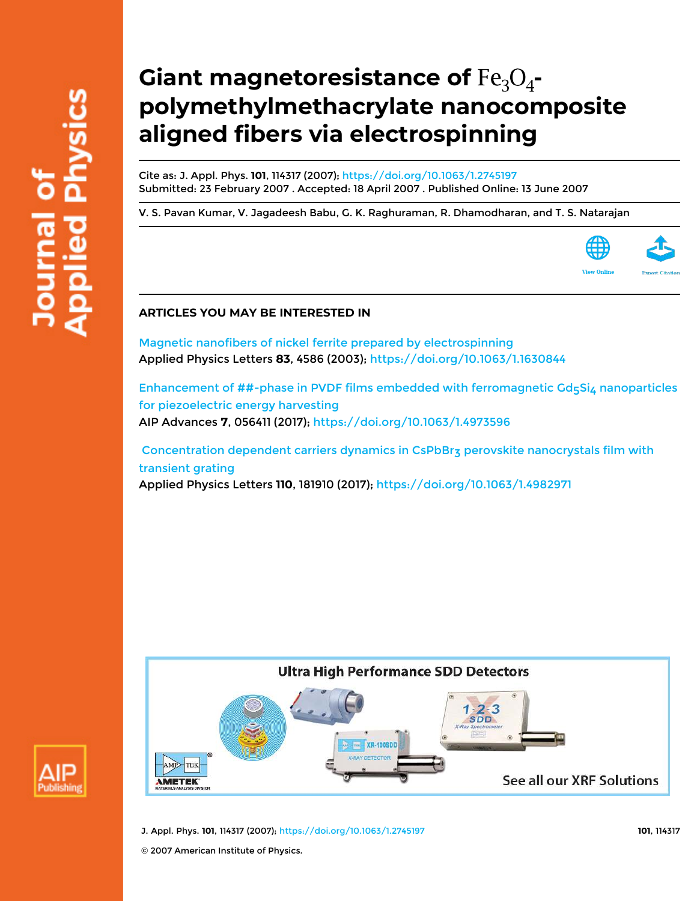# **Giant magnetoresistance of**  $Fe<sub>3</sub>O<sub>4</sub>$ **polymethylmethacrylate nanocomposite aligned fibers via electrospinning**

Cite as: J. Appl. Phys. **101**, 114317 (2007); https://doi.org/10.1063/1.2745197 Submitted: 23 February 2007 . Accepted: 18 April 2007 . Published Online: 13 June 2007

V. S. Pavan Kumar, V. Jagadeesh Babu, G. K. Raghuraman, R. Dhamodharan, and T. S. Natarajan



## **ARTICLES YOU MAY BE INTERESTED IN**

Magnetic nanofibers of nickel ferrite prepared by electrospinning Applied Physics Letters **83**, 4586 (2003); https://doi.org/10.1063/1.1630844

Enhancement of  $\texttt{\#}\#$ -phase in PVDF films embedded with ferromagnetic Gd<sub>5</sub>Si<sub>4</sub> nanoparticles for piezoelectric energy harvesting AIP Advances **7**, 056411 (2017); https://doi.org/10.1063/1.4973596

 Concentration dependent carriers dynamics in CsPbBr3 perovskite nanocrystals film with transient grating Applied Physics Letters **110**, 181910 (2017); https://doi.org/10.1063/1.4982971





J. Appl. Phys. **101**, 114317 (2007); https://doi.org/10.1063/1.2745197 **101**, 114317

© 2007 American Institute of Physics.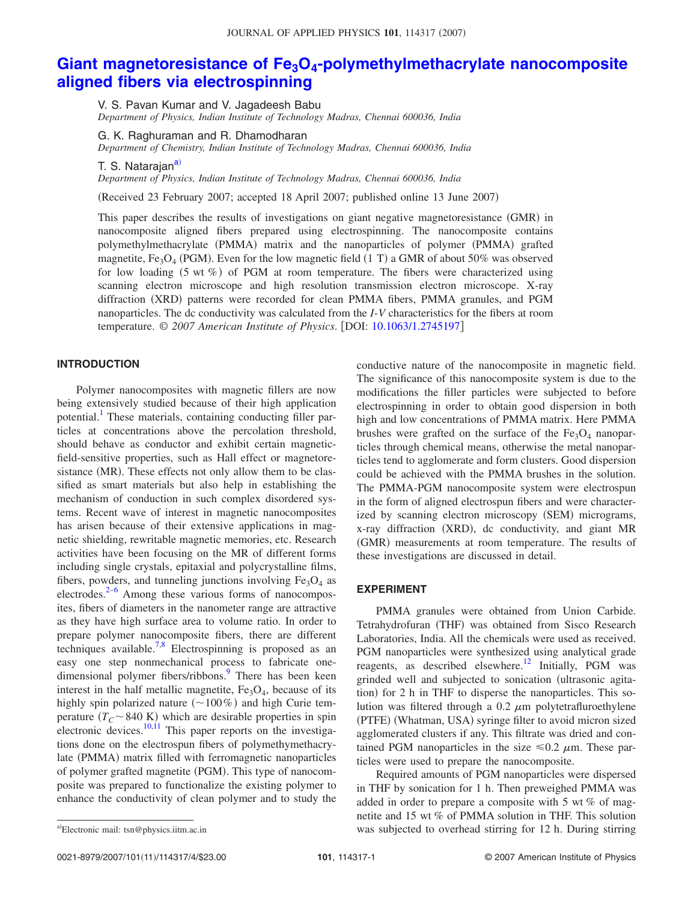# **Giant magnetoresistance of Fe3O<sup>4</sup> -polymethylmethacrylate nanocomposite aligned fibers via electrospinning**

V. S. Pavan Kumar and V. Jagadeesh Babu *Department of Physics, Indian Institute of Technology Madras, Chennai 600036, India*

G. K. Raghuraman and R. Dhamodharan *Department of Chemistry, Indian Institute of Technology Madras, Chennai 600036, India*

T. S. Natarajan<sup>a)</sup>

*Department of Physics, Indian Institute of Technology Madras, Chennai 600036, India*

Received 23 February 2007; accepted 18 April 2007; published online 13 June 2007-

This paper describes the results of investigations on giant negative magnetoresistance (GMR) in nanocomposite aligned fibers prepared using electrospinning. The nanocomposite contains polymethylmethacrylate (PMMA) matrix and the nanoparticles of polymer (PMMA) grafted magnetite,  $Fe<sub>3</sub>O<sub>4</sub>$  (PGM). Even for the low magnetic field (1 T) a GMR of about 50% was observed for low loading  $(5 \text{ wt } \%)$  of PGM at room temperature. The fibers were characterized using scanning electron microscope and high resolution transmission electron microscope. X-ray diffraction (XRD) patterns were recorded for clean PMMA fibers, PMMA granules, and PGM nanoparticles. The dc conductivity was calculated from the *I*-*V* characteristics for the fibers at room temperature. © *2007 American Institute of Physics*. DOI: 10.1063/1.2745197

## **INTRODUCTION**

Polymer nanocomposites with magnetic fillers are now being extensively studied because of their high application potential.<sup>1</sup> These materials, containing conducting filler particles at concentrations above the percolation threshold, should behave as conductor and exhibit certain magneticfield-sensitive properties, such as Hall effect or magnetoresistance (MR). These effects not only allow them to be classified as smart materials but also help in establishing the mechanism of conduction in such complex disordered systems. Recent wave of interest in magnetic nanocomposites has arisen because of their extensive applications in magnetic shielding, rewritable magnetic memories, etc. Research activities have been focusing on the MR of different forms including single crystals, epitaxial and polycrystalline films, fibers, powders, and tunneling junctions involving  $Fe<sub>3</sub>O<sub>4</sub>$  as electrodes.<sup>2–6</sup> Among these various forms of nanocomposites, fibers of diameters in the nanometer range are attractive as they have high surface area to volume ratio. In order to prepare polymer nanocomposite fibers, there are different techniques available.<sup>7,8</sup> Electrospinning is proposed as an easy one step nonmechanical process to fabricate onedimensional polymer fibers/ribbons.<sup>9</sup> There has been keen interest in the half metallic magnetite,  $Fe<sub>3</sub>O<sub>4</sub>$ , because of its highly spin polarized nature  $(\sim 100\%)$  and high Curie temperature  $(T_C \sim 840 \text{ K})$  which are desirable properties in spin electronic devices.<sup>10,11</sup> This paper reports on the investigations done on the electrospun fibers of polymethymethacrylate (PMMA) matrix filled with ferromagnetic nanoparticles of polymer grafted magnetite (PGM). This type of nanocomposite was prepared to functionalize the existing polymer to enhance the conductivity of clean polymer and to study the

conductive nature of the nanocomposite in magnetic field. The significance of this nanocomposite system is due to the modifications the filler particles were subjected to before electrospinning in order to obtain good dispersion in both high and low concentrations of PMMA matrix. Here PMMA brushes were grafted on the surface of the  $Fe<sub>3</sub>O<sub>4</sub>$  nanoparticles through chemical means, otherwise the metal nanoparticles tend to agglomerate and form clusters. Good dispersion could be achieved with the PMMA brushes in the solution. The PMMA-PGM nanocomposite system were electrospun in the form of aligned electrospun fibers and were characterized by scanning electron microscopy (SEM) micrograms, x-ray diffraction (XRD), dc conductivity, and giant MR (GMR) measurements at room temperature. The results of these investigations are discussed in detail.

## **EXPERIMENT**

PMMA granules were obtained from Union Carbide. Tetrahydrofuran (THF) was obtained from Sisco Research Laboratories, India. All the chemicals were used as received. PGM nanoparticles were synthesized using analytical grade reagents, as described elsewhere.<sup>12</sup> Initially, PGM was grinded well and subjected to sonication (ultrasonic agitation) for 2 h in THF to disperse the nanoparticles. This solution was filtered through a 0.2  $\mu$ m polytetrafluroethylene (PTFE) (Whatman, USA) syringe filter to avoid micron sized agglomerated clusters if any. This filtrate was dried and contained PGM nanoparticles in the size  $\leq 0.2 \mu$ m. These particles were used to prepare the nanocomposite.

Required amounts of PGM nanoparticles were dispersed in THF by sonication for 1 h. Then preweighed PMMA was added in order to prepare a composite with 5 wt % of magnetite and 15 wt % of PMMA solution in THF. This solution was subjected to overhead stirring for 12 h. During stirring

Electronic mail: tsn@physics.iitm.ac.in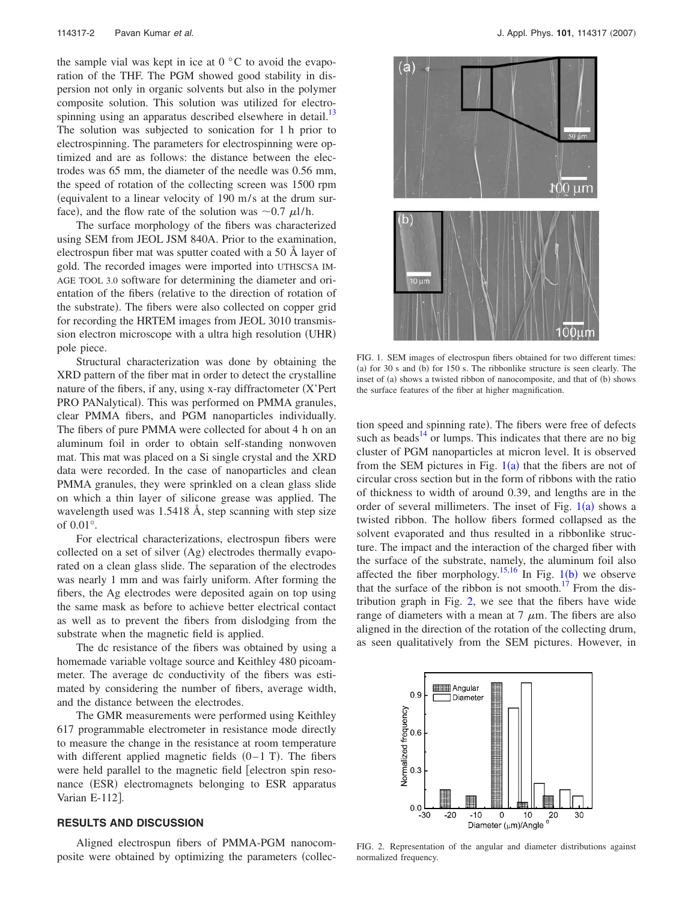the sample vial was kept in ice at  $0^{\circ}$ C to avoid the evaporation of the THF. The PGM showed good stability in dispersion not only in organic solvents but also in the polymer composite solution. This solution was utilized for electrospinning using an apparatus described elsewhere in detail.<sup>13</sup> The solution was subjected to sonication for 1 h prior to electrospinning. The parameters for electrospinning were optimized and are as follows: the distance between the electrodes was 65 mm, the diameter of the needle was 0.56 mm, the speed of rotation of the collecting screen was 1500 rpm equivalent to a linear velocity of 190 m/s at the drum surface), and the flow rate of the solution was  $\sim 0.7 \mu l/h$ .

The surface morphology of the fibers was characterized using SEM from JEOL JSM 840A. Prior to the examination, electrospun fiber mat was sputter coated with a 50 Å layer of gold. The recorded images were imported into UTHSCSA IM-AGE TOOL 3.0 software for determining the diameter and orientation of the fibers (relative to the direction of rotation of the substrate). The fibers were also collected on copper grid for recording the HRTEM images from JEOL 3010 transmission electron microscope with a ultra high resolution (UHR) pole piece.

Structural characterization was done by obtaining the XRD pattern of the fiber mat in order to detect the crystalline nature of the fibers, if any, using x-ray diffractometer  $(X'$ Pert PRO PANalytical). This was performed on PMMA granules, clear PMMA fibers, and PGM nanoparticles individually. The fibers of pure PMMA were collected for about 4 h on an aluminum foil in order to obtain self-standing nonwoven mat. This mat was placed on a Si single crystal and the XRD data were recorded. In the case of nanoparticles and clean PMMA granules, they were sprinkled on a clean glass slide on which a thin layer of silicone grease was applied. The wavelength used was 1.5418 Å, step scanning with step size of 0.01°.

For electrical characterizations, electrospun fibers were collected on a set of silver (Ag) electrodes thermally evaporated on a clean glass slide. The separation of the electrodes was nearly 1 mm and was fairly uniform. After forming the fibers, the Ag electrodes were deposited again on top using the same mask as before to achieve better electrical contact as well as to prevent the fibers from dislodging from the substrate when the magnetic field is applied.

The dc resistance of the fibers was obtained by using a homemade variable voltage source and Keithley 480 picoammeter. The average dc conductivity of the fibers was estimated by considering the number of fibers, average width, and the distance between the electrodes.

The GMR measurements were performed using Keithley 617 programmable electrometer in resistance mode directly to measure the change in the resistance at room temperature with different applied magnetic fields  $(0-1)$ . The fibers were held parallel to the magnetic field [electron spin resonance (ESR) electromagnets belonging to ESR apparatus Varian E-112<sup>]</sup>.

#### **RESULTS AND DISCUSSION**

Aligned electrospun fibers of PMMA-PGM nanocomposite were obtained by optimizing the parameters (collec-



FIG. 1. SEM images of electrospun fibers obtained for two different times: (a) for 30 s and (b) for 150 s. The ribbonlike structure is seen clearly. The inset of (a) shows a twisted ribbon of nanocomposite, and that of (b) shows the surface features of the fiber at higher magnification.

tion speed and spinning rate). The fibers were free of defects such as beads $14$  or lumps. This indicates that there are no big cluster of PGM nanoparticles at micron level. It is observed from the SEM pictures in Fig.  $1(a)$  that the fibers are not of circular cross section but in the form of ribbons with the ratio of thickness to width of around 0.39, and lengths are in the order of several millimeters. The inset of Fig.  $1(a)$  shows a twisted ribbon. The hollow fibers formed collapsed as the solvent evaporated and thus resulted in a ribbonlike structure. The impact and the interaction of the charged fiber with the surface of the substrate, namely, the aluminum foil also affected the fiber morphology.<sup>15,16</sup> In Fig. 1(b) we observe that the surface of the ribbon is not smooth.<sup>17</sup> From the distribution graph in Fig. 2, we see that the fibers have wide range of diameters with a mean at  $7 \mu$ m. The fibers are also aligned in the direction of the rotation of the collecting drum, as seen qualitatively from the SEM pictures. However, in



FIG. 2. Representation of the angular and diameter distributions against normalized frequency.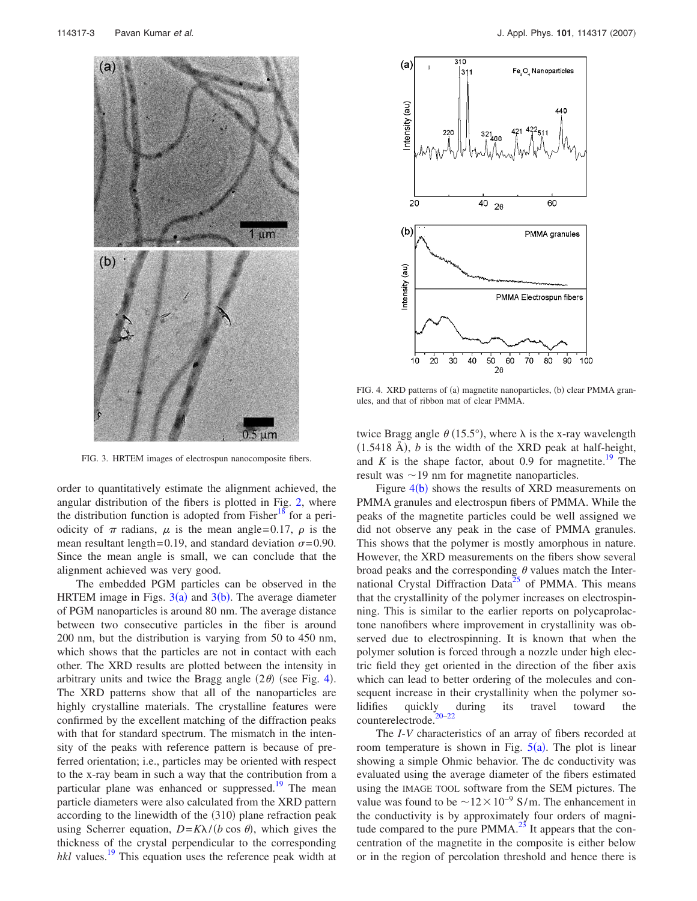

FIG. 3. HRTEM images of electrospun nanocomposite fibers.

order to quantitatively estimate the alignment achieved, the angular distribution of the fibers is plotted in Fig. 2, where the distribution function is adopted from Fisher<sup>18</sup> for a periodicity of  $\pi$  radians,  $\mu$  is the mean angle=0.17,  $\rho$  is the mean resultant length=0.19, and standard deviation  $\sigma$ =0.90. Since the mean angle is small, we can conclude that the alignment achieved was very good.

The embedded PGM particles can be observed in the HRTEM image in Figs.  $3(a)$  and  $3(b)$ . The average diameter of PGM nanoparticles is around 80 nm. The average distance between two consecutive particles in the fiber is around 200 nm, but the distribution is varying from 50 to 450 nm, which shows that the particles are not in contact with each other. The XRD results are plotted between the intensity in arbitrary units and twice the Bragg angle  $(2\theta)$  (see Fig. 4). The XRD patterns show that all of the nanoparticles are highly crystalline materials. The crystalline features were confirmed by the excellent matching of the diffraction peaks with that for standard spectrum. The mismatch in the intensity of the peaks with reference pattern is because of preferred orientation; i.e., particles may be oriented with respect to the x-ray beam in such a way that the contribution from a particular plane was enhanced or suppressed.<sup>19</sup> The mean particle diameters were also calculated from the XRD pattern according to the linewidth of the (310) plane refraction peak using Scherrer equation,  $D = K\lambda / (b \cos \theta)$ , which gives the thickness of the crystal perpendicular to the corresponding *hkl* values.<sup>19</sup> This equation uses the reference peak width at



FIG. 4. XRD patterns of (a) magnetite nanoparticles, (b) clear PMMA granules, and that of ribbon mat of clear PMMA.

twice Bragg angle  $\theta$  (15.5°), where  $\lambda$  is the x-ray wavelength  $(1.5418 \text{ Å})$ , *b* is the width of the XRD peak at half-height, and  $K$  is the shape factor, about 0.9 for magnetite.<sup>19</sup> The result was  $\sim$  19 nm for magnetite nanoparticles.

Figure  $4(b)$  shows the results of XRD measurements on PMMA granules and electrospun fibers of PMMA. While the peaks of the magnetite particles could be well assigned we did not observe any peak in the case of PMMA granules. This shows that the polymer is mostly amorphous in nature. However, the XRD measurements on the fibers show several broad peaks and the corresponding  $\theta$  values match the International Crystal Diffraction Data<sup>25</sup> of PMMA. This means that the crystallinity of the polymer increases on electrospinning. This is similar to the earlier reports on polycaprolactone nanofibers where improvement in crystallinity was observed due to electrospinning. It is known that when the polymer solution is forced through a nozzle under high electric field they get oriented in the direction of the fiber axis which can lead to better ordering of the molecules and consequent increase in their crystallinity when the polymer solidifies quickly during its travel toward the counterelectrode.

The *I*-*V* characteristics of an array of fibers recorded at room temperature is shown in Fig.  $5(a)$ . The plot is linear showing a simple Ohmic behavior. The dc conductivity was evaluated using the average diameter of the fibers estimated using the IMAGE TOOL software from the SEM pictures. The value was found to be  $\sim$ 12 $\times$ 10<sup>-9</sup> S/m. The enhancement in the conductivity is by approximately four orders of magnitude compared to the pure  $PMMA<sup>23</sup>$  It appears that the concentration of the magnetite in the composite is either below or in the region of percolation threshold and hence there is